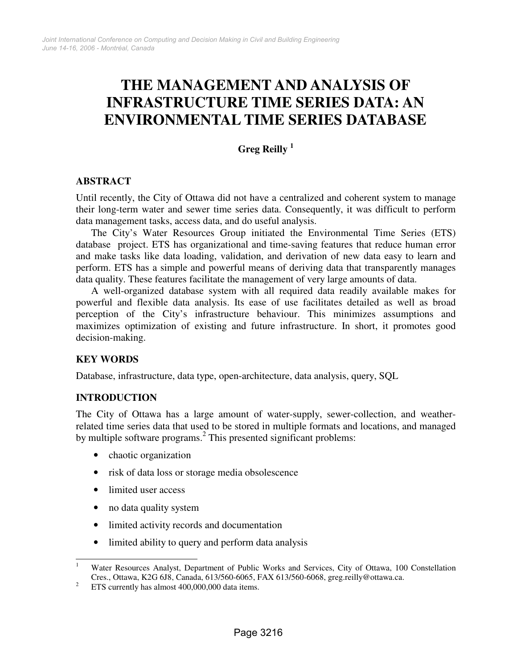# **THE MANAGEMENT AND ANALYSIS OF INFRASTRUCTURE TIME SERIES DATA: AN ENVIRONMENTAL TIME SERIES DATABASE**

# **Greg Reilly <sup>1</sup>**

## **ABSTRACT**

Until recently, the City of Ottawa did not have a centralized and coherent system to manage their long-term water and sewer time series data. Consequently, it was difficult to perform data management tasks, access data, and do useful analysis.

The City's Water Resources Group initiated the Environmental Time Series (ETS) database project. ETS has organizational and time-saving features that reduce human error and make tasks like data loading, validation, and derivation of new data easy to learn and perform. ETS has a simple and powerful means of deriving data that transparently manages data quality. These features facilitate the management of very large amounts of data.

A well-organized database system with all required data readily available makes for powerful and flexible data analysis. Its ease of use facilitates detailed as well as broad perception of the City's infrastructure behaviour. This minimizes assumptions and maximizes optimization of existing and future infrastructure. In short, it promotes good decision-making.

## **KEY WORDS**

Database, infrastructure, data type, open-architecture, data analysis, query, SQL

#### **INTRODUCTION**

The City of Ottawa has a large amount of water-supply, sewer-collection, and weatherrelated time series data that used to be stored in multiple formats and locations, and managed by multiple software programs.<sup>2</sup> This presented significant problems:

- chaotic organization
- risk of data loss or storage media obsolescence
- limited user access
- no data quality system
- limited activity records and documentation
- limited ability to query and perform data analysis

 $\frac{1}{1}$  Water Resources Analyst, Department of Public Works and Services, City of Ottawa, 100 Constellation Cres., Ottawa, K2G 6J8, Canada, 613/560-6065, FAX 613/560-6068, greg.reilly@ottawa.ca.

<sup>2</sup> ETS currently has almost 400,000,000 data items.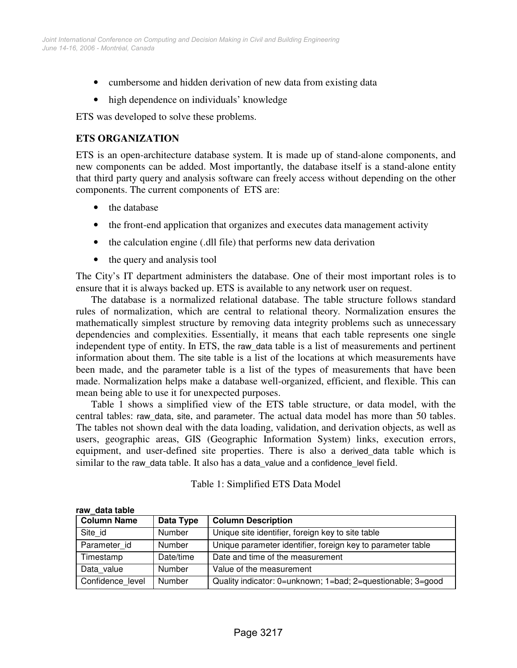- cumbersome and hidden derivation of new data from existing data
- high dependence on individuals' knowledge

ETS was developed to solve these problems.

#### **ETS ORGANIZATION**

ETS is an open-architecture database system. It is made up of stand-alone components, and new components can be added. Most importantly, the database itself is a stand-alone entity that third party query and analysis software can freely access without depending on the other components. The current components of ETS are:

- the database
- the front-end application that organizes and executes data management activity
- the calculation engine (.dll file) that performs new data derivation
- the query and analysis tool

The City's IT department administers the database. One of their most important roles is to ensure that it is always backed up. ETS is available to any network user on request.

The database is a normalized relational database. The table structure follows standard rules of normalization, which are central to relational theory. Normalization ensures the mathematically simplest structure by removing data integrity problems such as unnecessary dependencies and complexities. Essentially, it means that each table represents one single independent type of entity. In ETS, the raw\_data table is a list of measurements and pertinent information about them. The site table is a list of the locations at which measurements have been made, and the parameter table is a list of the types of measurements that have been made. Normalization helps make a database well-organized, efficient, and flexible. This can mean being able to use it for unexpected purposes.

Table 1 shows a simplified view of the ETS table structure, or data model, with the central tables: raw\_data, site, and parameter. The actual data model has more than 50 tables. The tables not shown deal with the data loading, validation, and derivation objects, as well as users, geographic areas, GIS (Geographic Information System) links, execution errors, equipment, and user-defined site properties. There is also a derived\_data table which is similar to the raw data table. It also has a data value and a confidence level field.

#### Table 1: Simplified ETS Data Model

| <b>Column Name</b> | Data Type | <b>Column Description</b>                                   |
|--------------------|-----------|-------------------------------------------------------------|
| Site id            | Number    | Unique site identifier, foreign key to site table           |
| Parameter id       | Number    | Unique parameter identifier, foreign key to parameter table |
| Timestamp          | Date/time | Date and time of the measurement                            |
| Data value         | Number    | Value of the measurement                                    |
| Confidence_level   | Number    | Quality indicator: 0=unknown; 1=bad; 2=questionable; 3=good |

**raw\_data table**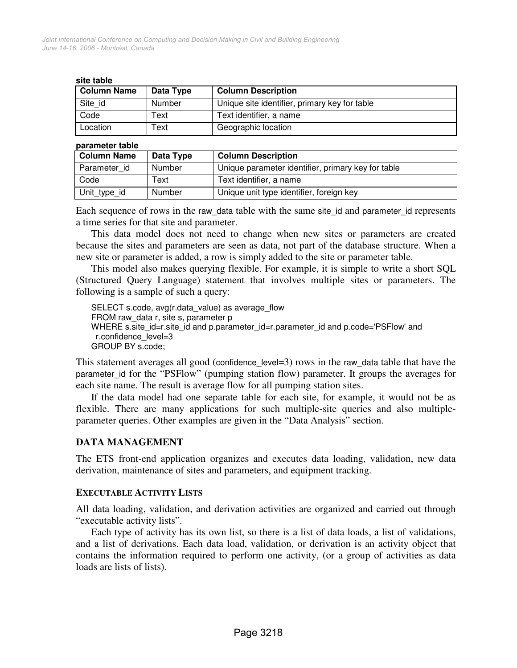#### **site table**

| <b>Column Name</b> | Data Type | <b>Column Description</b>                     |
|--------------------|-----------|-----------------------------------------------|
| Site id            | Number    | Unique site identifier, primary key for table |
| Code               | Text      | Text identifier, a name                       |
| Location           | Text      | Geographic location                           |

#### **parameter table**

| <b>Column Name</b> | Data Type | <b>Column Description</b>                          |
|--------------------|-----------|----------------------------------------------------|
| Parameter id       | Number    | Unique parameter identifier, primary key for table |
| Code               | Text      | Text identifier, a name                            |
| Unit_type_id       | Number    | Unique unit type identifier, foreign key           |

Each sequence of rows in the raw\_data table with the same site\_id and parameter\_id represents a time series for that site and parameter.

This data model does not need to change when new sites or parameters are created because the sites and parameters are seen as data, not part of the database structure. When a new site or parameter is added, a row is simply added to the site or parameter table.

This model also makes querying flexible. For example, it is simple to write a short SQL (Structured Query Language) statement that involves multiple sites or parameters. The following is a sample of such a query:

SELECT s.code, avg(r.data\_value) as average\_flow FROM raw\_data r, site s, parameter p WHERE s.site\_id=r.site\_id and p.parameter\_id=r.parameter\_id and p.code='PSFlow' and r.confidence\_level=3 GROUP BY s.code;

This statement averages all good (confidence\_level=3) rows in the raw\_data table that have the parameter\_id for the "PSFlow" (pumping station flow) parameter. It groups the averages for each site name. The result is average flow for all pumping station sites.

If the data model had one separate table for each site, for example, it would not be as flexible. There are many applications for such multiple-site queries and also multipleparameter queries. Other examples are given in the "Data Analysis" section.

#### **DATA MANAGEMENT**

The ETS front-end application organizes and executes data loading, validation, new data derivation, maintenance of sites and parameters, and equipment tracking.

#### **EXECUTABLE ACTIVITY LISTS**

All data loading, validation, and derivation activities are organized and carried out through "executable activity lists".

Each type of activity has its own list, so there is a list of data loads, a list of validations, and a list of derivations. Each data load, validation, or derivation is an activity object that contains the information required to perform one activity, (or a group of activities as data loads are lists of lists).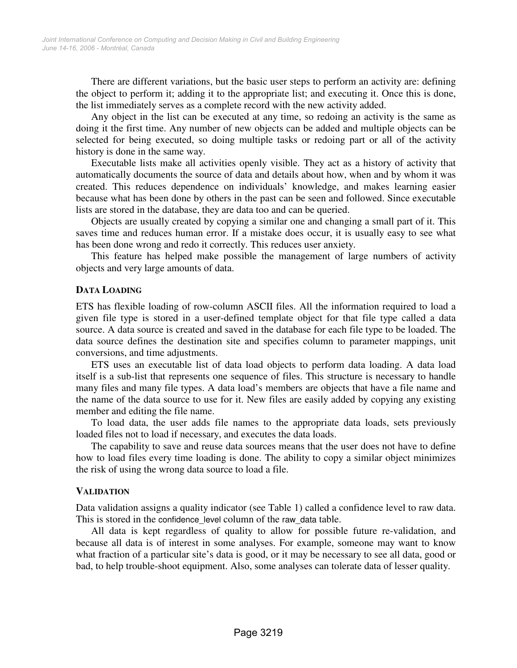There are different variations, but the basic user steps to perform an activity are: defining the object to perform it; adding it to the appropriate list; and executing it. Once this is done, the list immediately serves as a complete record with the new activity added.

Any object in the list can be executed at any time, so redoing an activity is the same as doing it the first time. Any number of new objects can be added and multiple objects can be selected for being executed, so doing multiple tasks or redoing part or all of the activity history is done in the same way.

Executable lists make all activities openly visible. They act as a history of activity that automatically documents the source of data and details about how, when and by whom it was created. This reduces dependence on individuals' knowledge, and makes learning easier because what has been done by others in the past can be seen and followed. Since executable lists are stored in the database, they are data too and can be queried.

Objects are usually created by copying a similar one and changing a small part of it. This saves time and reduces human error. If a mistake does occur, it is usually easy to see what has been done wrong and redo it correctly. This reduces user anxiety.

This feature has helped make possible the management of large numbers of activity objects and very large amounts of data.

#### **DATA LOADING**

ETS has flexible loading of row-column ASCII files. All the information required to load a given file type is stored in a user-defined template object for that file type called a data source. A data source is created and saved in the database for each file type to be loaded. The data source defines the destination site and specifies column to parameter mappings, unit conversions, and time adjustments.

ETS uses an executable list of data load objects to perform data loading. A data load itself is a sub-list that represents one sequence of files. This structure is necessary to handle many files and many file types. A data load's members are objects that have a file name and the name of the data source to use for it. New files are easily added by copying any existing member and editing the file name.

To load data, the user adds file names to the appropriate data loads, sets previously loaded files not to load if necessary, and executes the data loads.

The capability to save and reuse data sources means that the user does not have to define how to load files every time loading is done. The ability to copy a similar object minimizes the risk of using the wrong data source to load a file.

#### **VALIDATION**

Data validation assigns a quality indicator (see Table 1) called a confidence level to raw data. This is stored in the confidence level column of the raw data table.

All data is kept regardless of quality to allow for possible future re-validation, and because all data is of interest in some analyses. For example, someone may want to know what fraction of a particular site's data is good, or it may be necessary to see all data, good or bad, to help trouble-shoot equipment. Also, some analyses can tolerate data of lesser quality.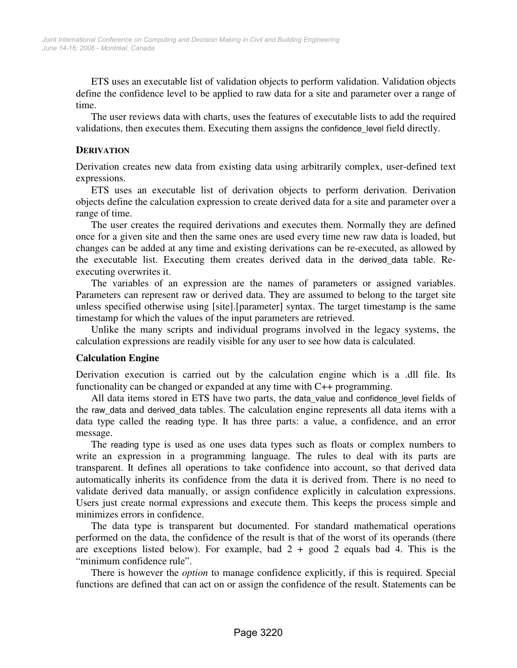ETS uses an executable list of validation objects to perform validation. Validation objects define the confidence level to be applied to raw data for a site and parameter over a range of time.

The user reviews data with charts, uses the features of executable lists to add the required validations, then executes them. Executing them assigns the confidence\_level field directly.

#### **DERIVATION**

Derivation creates new data from existing data using arbitrarily complex, user-defined text expressions.

ETS uses an executable list of derivation objects to perform derivation. Derivation objects define the calculation expression to create derived data for a site and parameter over a range of time.

The user creates the required derivations and executes them. Normally they are defined once for a given site and then the same ones are used every time new raw data is loaded, but changes can be added at any time and existing derivations can be re-executed, as allowed by the executable list. Executing them creates derived data in the derived\_data table. Reexecuting overwrites it.

The variables of an expression are the names of parameters or assigned variables. Parameters can represent raw or derived data. They are assumed to belong to the target site unless specified otherwise using [site].[parameter] syntax. The target timestamp is the same timestamp for which the values of the input parameters are retrieved.

Unlike the many scripts and individual programs involved in the legacy systems, the calculation expressions are readily visible for any user to see how data is calculated.

#### **Calculation Engine**

Derivation execution is carried out by the calculation engine which is a .dll file. Its functionality can be changed or expanded at any time with C++ programming.

All data items stored in ETS have two parts, the data\_value and confidence\_level fields of the raw\_data and derived\_data tables. The calculation engine represents all data items with a data type called the reading type. It has three parts: a value, a confidence, and an error message.

The reading type is used as one uses data types such as floats or complex numbers to write an expression in a programming language. The rules to deal with its parts are transparent. It defines all operations to take confidence into account, so that derived data automatically inherits its confidence from the data it is derived from. There is no need to validate derived data manually, or assign confidence explicitly in calculation expressions. Users just create normal expressions and execute them. This keeps the process simple and minimizes errors in confidence.

The data type is transparent but documented. For standard mathematical operations performed on the data, the confidence of the result is that of the worst of its operands (there are exceptions listed below). For example, bad  $2 + \text{good } 2$  equals bad 4. This is the "minimum confidence rule".

There is however the *option* to manage confidence explicitly, if this is required. Special functions are defined that can act on or assign the confidence of the result. Statements can be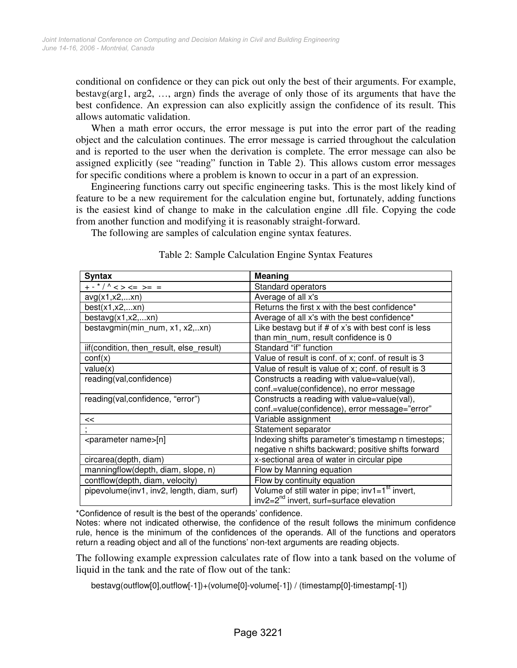conditional on confidence or they can pick out only the best of their arguments. For example, bestavg(arg1, arg2, …, argn) finds the average of only those of its arguments that have the best confidence. An expression can also explicitly assign the confidence of its result. This allows automatic validation.

When a math error occurs, the error message is put into the error part of the reading object and the calculation continues. The error message is carried throughout the calculation and is reported to the user when the derivation is complete. The error message can also be assigned explicitly (see "reading" function in Table 2). This allows custom error messages for specific conditions where a problem is known to occur in a part of an expression.

Engineering functions carry out specific engineering tasks. This is the most likely kind of feature to be a new requirement for the calculation engine but, fortunately, adding functions is the easiest kind of change to make in the calculation engine .dll file. Copying the code from another function and modifying it is reasonably straight-forward.

The following are samples of calculation engine syntax features.

| <b>Syntax</b>                              | Meaning                                             |
|--------------------------------------------|-----------------------------------------------------|
| + - * / ^ < > <=  >=  =                    | Standard operators                                  |
| avg(x1, x2, xn)                            | Average of all x's                                  |
| best(x1, x2, xn)                           | Returns the first x with the best confidence*       |
| bestavg(x1,x2,xn)                          | Average of all x's with the best confidence*        |
| bestavgmin(min_num, x1, x2,xn)             | Like bestavg but if # of x's with best conf is less |
|                                            | than min num, result confidence is 0                |
| iif(condition, then_result, else_result)   | Standard "if" function                              |
| $\text{conf}(x)$                           | Value of result is conf. of x; conf. of result is 3 |
| value(x)                                   | Value of result is value of x; conf. of result is 3 |
| reading(val,confidence)                    | Constructs a reading with value=value(val),         |
|                                            | conf.=value(confidence), no error message           |
| reading(val,confidence, "error")           | Constructs a reading with value=value(val),         |
|                                            | conf.=value(confidence), error message="error"      |
| <<                                         | Variable assignment                                 |
|                                            | Statement separator                                 |
| <parameter name="">[n]</parameter>         | Indexing shifts parameter's timestamp n timesteps;  |
|                                            | negative n shifts backward; positive shifts forward |
| circarea(depth, diam)                      | x-sectional area of water in circular pipe          |
| manningflow(depth, diam, slope, n)         | Flow by Manning equation                            |
| contflow(depth, diam, velocity)            | Flow by continuity equation                         |
| pipevolume(inv1, inv2, length, diam, surf) | Volume of still water in pipe; $inv1 = 1st$ invert, |
|                                            | inv2=2 <sup>nd</sup> invert, surf=surface elevation |

|  | Table 2: Sample Calculation Engine Syntax Features |  |  |
|--|----------------------------------------------------|--|--|
|  |                                                    |  |  |

\*Confidence of result is the best of the operands' confidence.

Notes: where not indicated otherwise, the confidence of the result follows the minimum confidence rule, hence is the minimum of the confidences of the operands. All of the functions and operators return a reading object and all of the functions' non-text arguments are reading objects.

The following example expression calculates rate of flow into a tank based on the volume of liquid in the tank and the rate of flow out of the tank:

bestavg(outflow[0],outflow[-1])+(volume[0]-volume[-1]) / (timestamp[0]-timestamp[-1])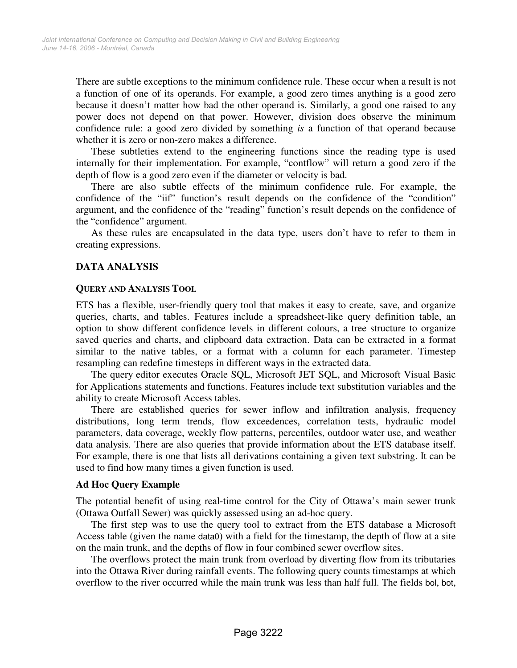There are subtle exceptions to the minimum confidence rule. These occur when a result is not a function of one of its operands. For example, a good zero times anything is a good zero because it doesn't matter how bad the other operand is. Similarly, a good one raised to any power does not depend on that power. However, division does observe the minimum confidence rule: a good zero divided by something *is* a function of that operand because whether it is zero or non-zero makes a difference.

These subtleties extend to the engineering functions since the reading type is used internally for their implementation. For example, "contflow" will return a good zero if the depth of flow is a good zero even if the diameter or velocity is bad.

There are also subtle effects of the minimum confidence rule. For example, the confidence of the "iif" function's result depends on the confidence of the "condition" argument, and the confidence of the "reading" function's result depends on the confidence of the "confidence" argument.

As these rules are encapsulated in the data type, users don't have to refer to them in creating expressions.

#### **DATA ANALYSIS**

#### **QUERY AND ANALYSIS TOOL**

ETS has a flexible, user-friendly query tool that makes it easy to create, save, and organize queries, charts, and tables. Features include a spreadsheet-like query definition table, an option to show different confidence levels in different colours, a tree structure to organize saved queries and charts, and clipboard data extraction. Data can be extracted in a format similar to the native tables, or a format with a column for each parameter. Timestep resampling can redefine timesteps in different ways in the extracted data.

The query editor executes Oracle SQL, Microsoft JET SQL, and Microsoft Visual Basic for Applications statements and functions. Features include text substitution variables and the ability to create Microsoft Access tables.

There are established queries for sewer inflow and infiltration analysis, frequency distributions, long term trends, flow exceedences, correlation tests, hydraulic model parameters, data coverage, weekly flow patterns, percentiles, outdoor water use, and weather data analysis. There are also queries that provide information about the ETS database itself. For example, there is one that lists all derivations containing a given text substring. It can be used to find how many times a given function is used.

#### **Ad Hoc Query Example**

The potential benefit of using real-time control for the City of Ottawa's main sewer trunk (Ottawa Outfall Sewer) was quickly assessed using an ad-hoc query.

The first step was to use the query tool to extract from the ETS database a Microsoft Access table (given the name data0) with a field for the timestamp, the depth of flow at a site on the main trunk, and the depths of flow in four combined sewer overflow sites.

The overflows protect the main trunk from overload by diverting flow from its tributaries into the Ottawa River during rainfall events. The following query counts timestamps at which overflow to the river occurred while the main trunk was less than half full. The fields bol, bot,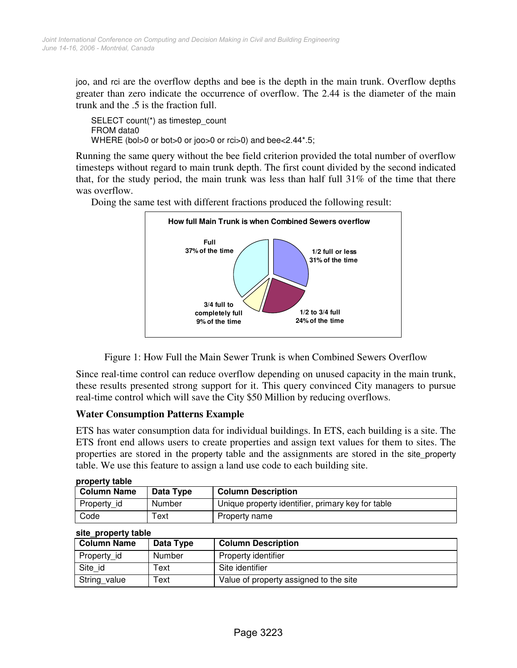joo, and rci are the overflow depths and bee is the depth in the main trunk. Overflow depths greater than zero indicate the occurrence of overflow. The 2.44 is the diameter of the main trunk and the .5 is the fraction full.

SELECT count(\*) as timestep\_count FROM data0 WHERE (bol>0 or bot>0 or joo>0 or rci>0) and bee<2.44\*.5;

Running the same query without the bee field criterion provided the total number of overflow timesteps without regard to main trunk depth. The first count divided by the second indicated that, for the study period, the main trunk was less than half full 31% of the time that there was overflow.



Doing the same test with different fractions produced the following result:



Since real-time control can reduce overflow depending on unused capacity in the main trunk, these results presented strong support for it. This query convinced City managers to pursue real-time control which will save the City \$50 Million by reducing overflows.

## **Water Consumption Patterns Example**

ETS has water consumption data for individual buildings. In ETS, each building is a site. The ETS front end allows users to create properties and assign text values for them to sites. The properties are stored in the property table and the assignments are stored in the site\_property table. We use this feature to assign a land use code to each building site.

| property table     |           |                                                   |  |
|--------------------|-----------|---------------------------------------------------|--|
| <b>Column Name</b> | Data Type | <b>Column Description</b>                         |  |
| Property id        | Number    | Unique property identifier, primary key for table |  |
| Code               | ⊺ext      | Property name                                     |  |

| <b>Column Name</b> | Data Type | <b>Column Description</b>              |
|--------------------|-----------|----------------------------------------|
| Property id        | Number    | Property identifier                    |
| Site id            | Text      | Site identifier                        |
| String value       | Text      | Value of property assigned to the site |

#### **site\_property table**

**property table**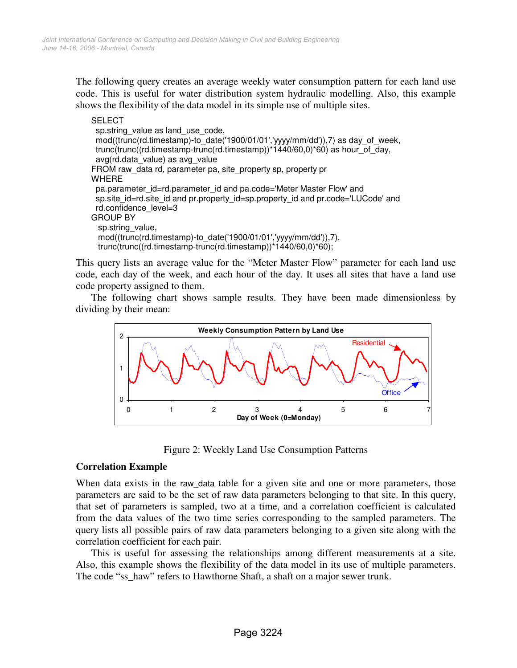The following query creates an average weekly water consumption pattern for each land use code. This is useful for water distribution system hydraulic modelling. Also, this example shows the flexibility of the data model in its simple use of multiple sites.

```
SELECT
 sp.string_value as land_use_code,
  mod((trunc(rd.timestamp)-to_date('1900/01/01','yyyy/mm/dd')),7) as day_of_week, 
 trunc(trunc((rd.timestamp-trunc(rd.timestamp))*1440/60,0)*60) as hour_of_day,
  avg(rd.data_value) as avg_value 
FROM raw data rd, parameter pa, site property sp, property pr
WHERE 
  pa.parameter_id=rd.parameter_id and pa.code='Meter Master Flow' and 
  sp.site_id=rd.site_id and pr.property_id=sp.property_id and pr.code='LUCode' and 
 rd.confidence_level=3
GROUP BY 
  sp.string_value,
   mod((trunc(rd.timestamp)-to_date('1900/01/01','yyyy/mm/dd')),7), 
   trunc(trunc((rd.timestamp-trunc(rd.timestamp))*1440/60,0)*60);
```
This query lists an average value for the "Meter Master Flow" parameter for each land use code, each day of the week, and each hour of the day. It uses all sites that have a land use code property assigned to them.

The following chart shows sample results. They have been made dimensionless by dividing by their mean:



Figure 2: Weekly Land Use Consumption Patterns

## **Correlation Example**

When data exists in the raw\_data table for a given site and one or more parameters, those parameters are said to be the set of raw data parameters belonging to that site. In this query, that set of parameters is sampled, two at a time, and a correlation coefficient is calculated from the data values of the two time series corresponding to the sampled parameters. The query lists all possible pairs of raw data parameters belonging to a given site along with the correlation coefficient for each pair.

This is useful for assessing the relationships among different measurements at a site. Also, this example shows the flexibility of the data model in its use of multiple parameters. The code "ss\_haw" refers to Hawthorne Shaft, a shaft on a major sewer trunk.